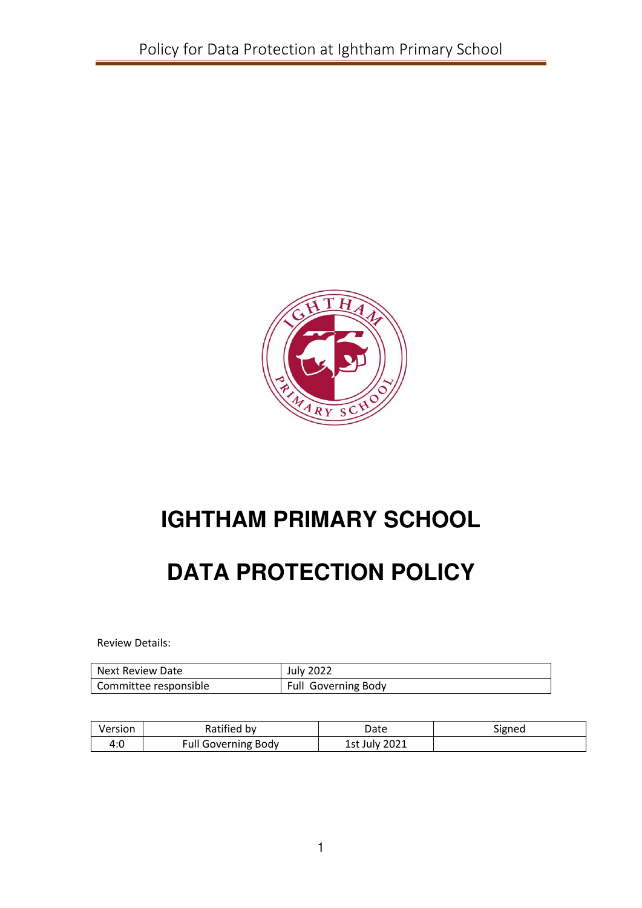

# **IGHTHAM PRIMARY SCHOOL**

# **DATA PROTECTION POLICY**

Review Details:

| Next Review Date      | <b>July 2022</b>    |
|-----------------------|---------------------|
| Committee responsible | Full Governing Body |

| Version | Ratified by                | Date          | Signed |
|---------|----------------------------|---------------|--------|
| 4:0     | <b>Full Governing Body</b> | 1st July 2021 |        |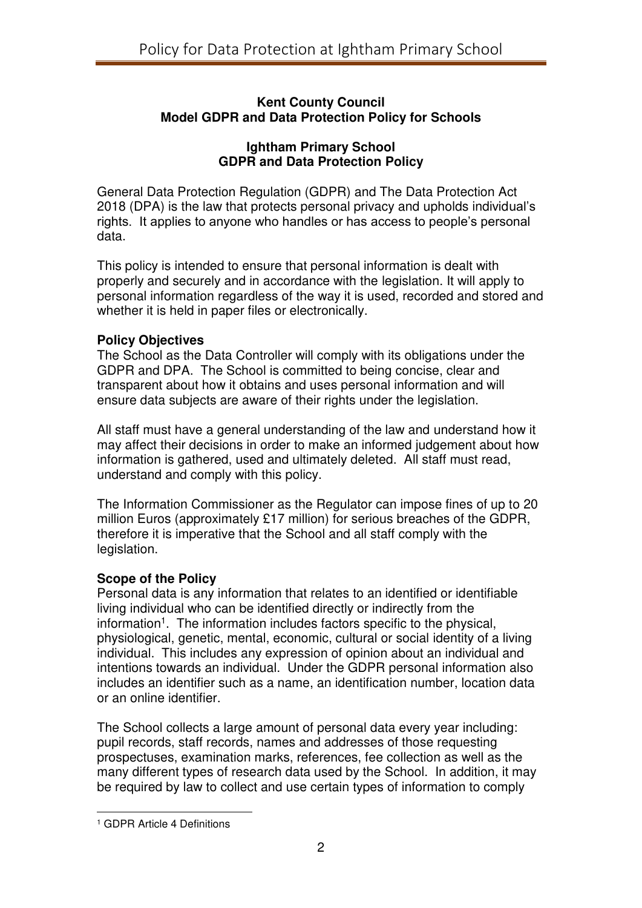### **Kent County Council Model GDPR and Data Protection Policy for Schools**

#### **Ightham Primary School GDPR and Data Protection Policy**

General Data Protection Regulation (GDPR) and The Data Protection Act 2018 (DPA) is the law that protects personal privacy and upholds individual's rights. It applies to anyone who handles or has access to people's personal data.

This policy is intended to ensure that personal information is dealt with properly and securely and in accordance with the legislation. It will apply to personal information regardless of the way it is used, recorded and stored and whether it is held in paper files or electronically.

#### **Policy Objectives**

The School as the Data Controller will comply with its obligations under the GDPR and DPA. The School is committed to being concise, clear and transparent about how it obtains and uses personal information and will ensure data subjects are aware of their rights under the legislation.

All staff must have a general understanding of the law and understand how it may affect their decisions in order to make an informed judgement about how information is gathered, used and ultimately deleted. All staff must read, understand and comply with this policy.

The Information Commissioner as the Regulator can impose fines of up to 20 million Euros (approximately £17 million) for serious breaches of the GDPR, therefore it is imperative that the School and all staff comply with the legislation.

## **Scope of the Policy**

Personal data is any information that relates to an identified or identifiable living individual who can be identified directly or indirectly from the information<sup>1</sup>. The information includes factors specific to the physical, physiological, genetic, mental, economic, cultural or social identity of a living individual. This includes any expression of opinion about an individual and intentions towards an individual. Under the GDPR personal information also includes an identifier such as a name, an identification number, location data or an online identifier.

The School collects a large amount of personal data every year including: pupil records, staff records, names and addresses of those requesting prospectuses, examination marks, references, fee collection as well as the many different types of research data used by the School. In addition, it may be required by law to collect and use certain types of information to comply

 $\overline{a}$ 

<sup>1</sup> GDPR Article 4 Definitions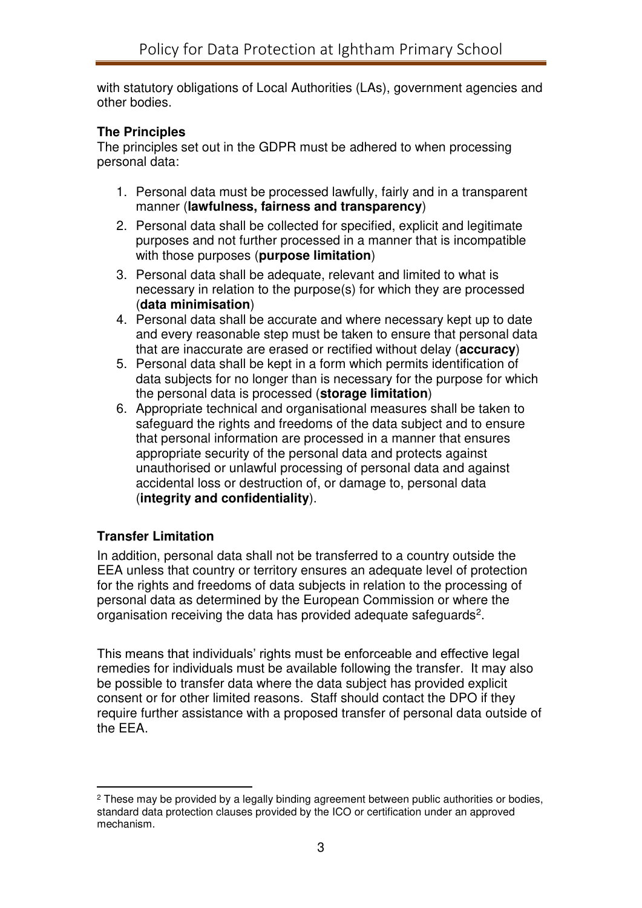with statutory obligations of Local Authorities (LAs), government agencies and other bodies.

## **The Principles**

The principles set out in the GDPR must be adhered to when processing personal data:

- 1. Personal data must be processed lawfully, fairly and in a transparent manner (**lawfulness, fairness and transparency**)
- 2. Personal data shall be collected for specified, explicit and legitimate purposes and not further processed in a manner that is incompatible with those purposes (**purpose limitation**)
- 3. Personal data shall be adequate, relevant and limited to what is necessary in relation to the purpose(s) for which they are processed (**data minimisation**)
- 4. Personal data shall be accurate and where necessary kept up to date and every reasonable step must be taken to ensure that personal data that are inaccurate are erased or rectified without delay (**accuracy**)
- 5. Personal data shall be kept in a form which permits identification of data subjects for no longer than is necessary for the purpose for which the personal data is processed (**storage limitation**)
- 6. Appropriate technical and organisational measures shall be taken to safeguard the rights and freedoms of the data subject and to ensure that personal information are processed in a manner that ensures appropriate security of the personal data and protects against unauthorised or unlawful processing of personal data and against accidental loss or destruction of, or damage to, personal data (**integrity and confidentiality**).

## **Transfer Limitation**

 $\overline{a}$ 

In addition, personal data shall not be transferred to a country outside the EEA unless that country or territory ensures an adequate level of protection for the rights and freedoms of data subjects in relation to the processing of personal data as determined by the European Commission or where the organisation receiving the data has provided adequate safeguards<sup>2</sup>.

This means that individuals' rights must be enforceable and effective legal remedies for individuals must be available following the transfer. It may also be possible to transfer data where the data subject has provided explicit consent or for other limited reasons. Staff should contact the DPO if they require further assistance with a proposed transfer of personal data outside of the EEA.

<sup>&</sup>lt;sup>2</sup> These may be provided by a legally binding agreement between public authorities or bodies, standard data protection clauses provided by the ICO or certification under an approved mechanism.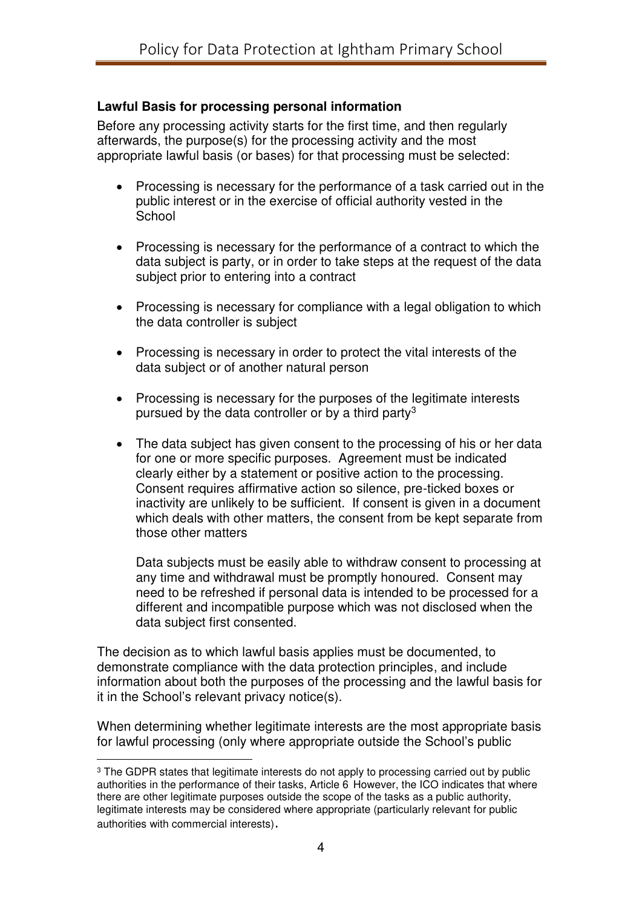## **Lawful Basis for processing personal information**

Before any processing activity starts for the first time, and then regularly afterwards, the purpose(s) for the processing activity and the most appropriate lawful basis (or bases) for that processing must be selected:

- Processing is necessary for the performance of a task carried out in the public interest or in the exercise of official authority vested in the **School**
- Processing is necessary for the performance of a contract to which the data subject is party, or in order to take steps at the request of the data subject prior to entering into a contract
- Processing is necessary for compliance with a legal obligation to which the data controller is subject
- Processing is necessary in order to protect the vital interests of the data subject or of another natural person
- Processing is necessary for the purposes of the legitimate interests pursued by the data controller or by a third party<sup>3</sup>
- The data subject has given consent to the processing of his or her data for one or more specific purposes. Agreement must be indicated clearly either by a statement or positive action to the processing. Consent requires affirmative action so silence, pre-ticked boxes or inactivity are unlikely to be sufficient. If consent is given in a document which deals with other matters, the consent from be kept separate from those other matters

Data subjects must be easily able to withdraw consent to processing at any time and withdrawal must be promptly honoured. Consent may need to be refreshed if personal data is intended to be processed for a different and incompatible purpose which was not disclosed when the data subject first consented.

The decision as to which lawful basis applies must be documented, to demonstrate compliance with the data protection principles, and include information about both the purposes of the processing and the lawful basis for it in the School's relevant privacy notice(s).

When determining whether legitimate interests are the most appropriate basis for lawful processing (only where appropriate outside the School's public  $\overline{a}$ 

<sup>&</sup>lt;sup>3</sup> The GDPR states that legitimate interests do not apply to processing carried out by public authorities in the performance of their tasks, Article 6 However, the ICO indicates that where there are other legitimate purposes outside the scope of the tasks as a public authority, legitimate interests may be considered where appropriate (particularly relevant for public authorities with commercial interests).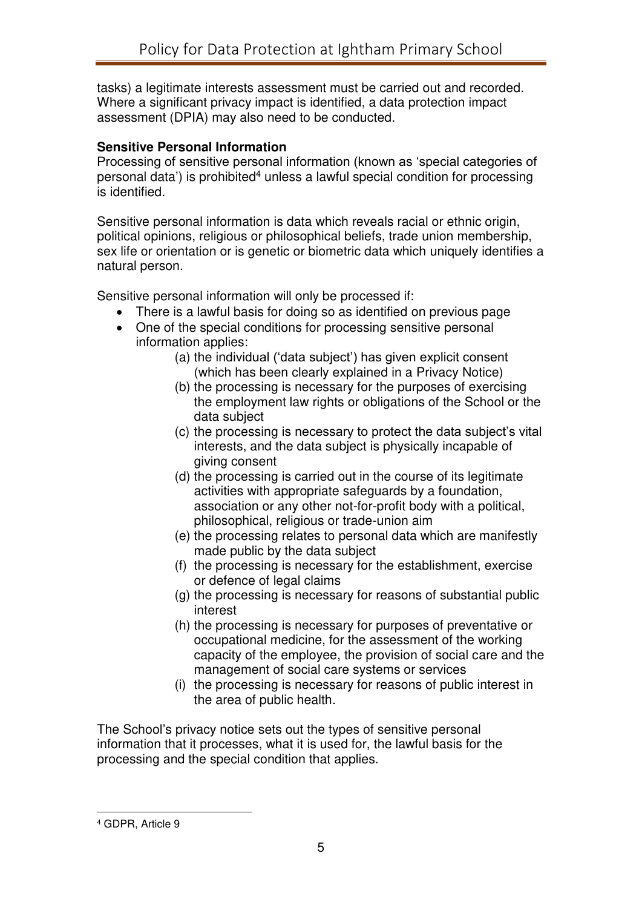tasks) a legitimate interests assessment must be carried out and recorded. Where a significant privacy impact is identified, a data protection impact assessment (DPIA) may also need to be conducted.

## **Sensitive Personal Information**

Processing of sensitive personal information (known as 'special categories of personal data') is prohibited<sup>4</sup> unless a lawful special condition for processing is identified.

Sensitive personal information is data which reveals racial or ethnic origin, political opinions, religious or philosophical beliefs, trade union membership, sex life or orientation or is genetic or biometric data which uniquely identifies a natural person.

Sensitive personal information will only be processed if:

- There is a lawful basis for doing so as identified on previous page
- One of the special conditions for processing sensitive personal information applies:
	- (a) the individual ('data subject') has given explicit consent (which has been clearly explained in a Privacy Notice)
	- (b) the processing is necessary for the purposes of exercising the employment law rights or obligations of the School or the data subject
	- (c) the processing is necessary to protect the data subject's vital interests, and the data subject is physically incapable of giving consent
	- (d) the processing is carried out in the course of its legitimate activities with appropriate safeguards by a foundation, association or any other not-for-profit body with a political, philosophical, religious or trade-union aim
	- (e) the processing relates to personal data which are manifestly made public by the data subject
	- (f) the processing is necessary for the establishment, exercise or defence of legal claims
	- (g) the processing is necessary for reasons of substantial public interest
	- (h) the processing is necessary for purposes of preventative or occupational medicine, for the assessment of the working capacity of the employee, the provision of social care and the management of social care systems or services
	- (i) the processing is necessary for reasons of public interest in the area of public health.

The School's privacy notice sets out the types of sensitive personal information that it processes, what it is used for, the lawful basis for the processing and the special condition that applies.

 $\overline{a}$ 

<sup>4</sup> GDPR, Article 9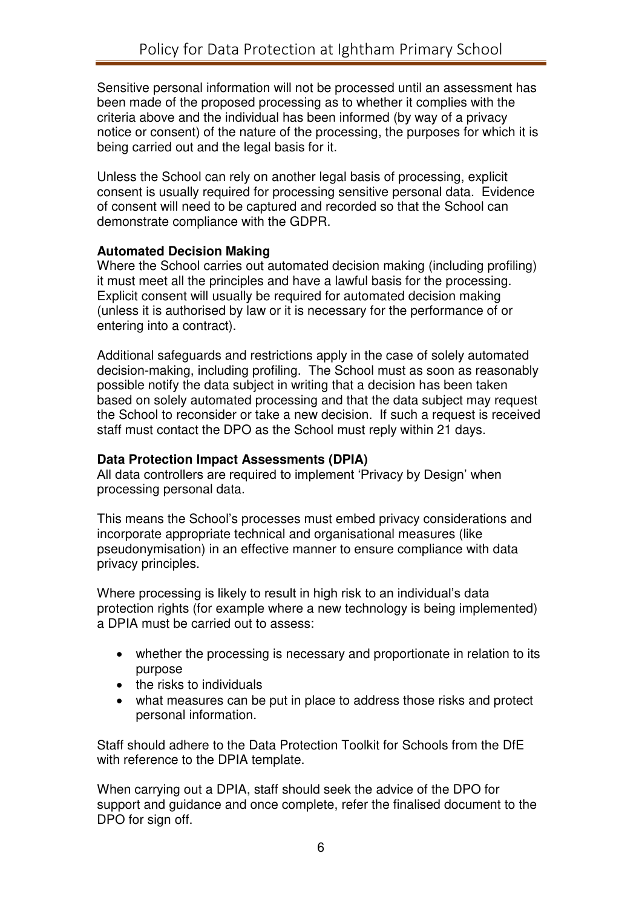Sensitive personal information will not be processed until an assessment has been made of the proposed processing as to whether it complies with the criteria above and the individual has been informed (by way of a privacy notice or consent) of the nature of the processing, the purposes for which it is being carried out and the legal basis for it.

Unless the School can rely on another legal basis of processing, explicit consent is usually required for processing sensitive personal data. Evidence of consent will need to be captured and recorded so that the School can demonstrate compliance with the GDPR.

#### **Automated Decision Making**

Where the School carries out automated decision making (including profiling) it must meet all the principles and have a lawful basis for the processing. Explicit consent will usually be required for automated decision making (unless it is authorised by law or it is necessary for the performance of or entering into a contract).

Additional safeguards and restrictions apply in the case of solely automated decision-making, including profiling. The School must as soon as reasonably possible notify the data subject in writing that a decision has been taken based on solely automated processing and that the data subject may request the School to reconsider or take a new decision. If such a request is received staff must contact the DPO as the School must reply within 21 days.

## **Data Protection Impact Assessments (DPIA)**

All data controllers are required to implement 'Privacy by Design' when processing personal data.

This means the School's processes must embed privacy considerations and incorporate appropriate technical and organisational measures (like pseudonymisation) in an effective manner to ensure compliance with data privacy principles.

Where processing is likely to result in high risk to an individual's data protection rights (for example where a new technology is being implemented) a DPIA must be carried out to assess:

- whether the processing is necessary and proportionate in relation to its purpose
- $\bullet$  the risks to individuals
- what measures can be put in place to address those risks and protect personal information.

Staff should adhere to the Data Protection Toolkit for Schools from the DfE with reference to the DPIA template.

When carrying out a DPIA, staff should seek the advice of the DPO for support and guidance and once complete, refer the finalised document to the DPO for sign off.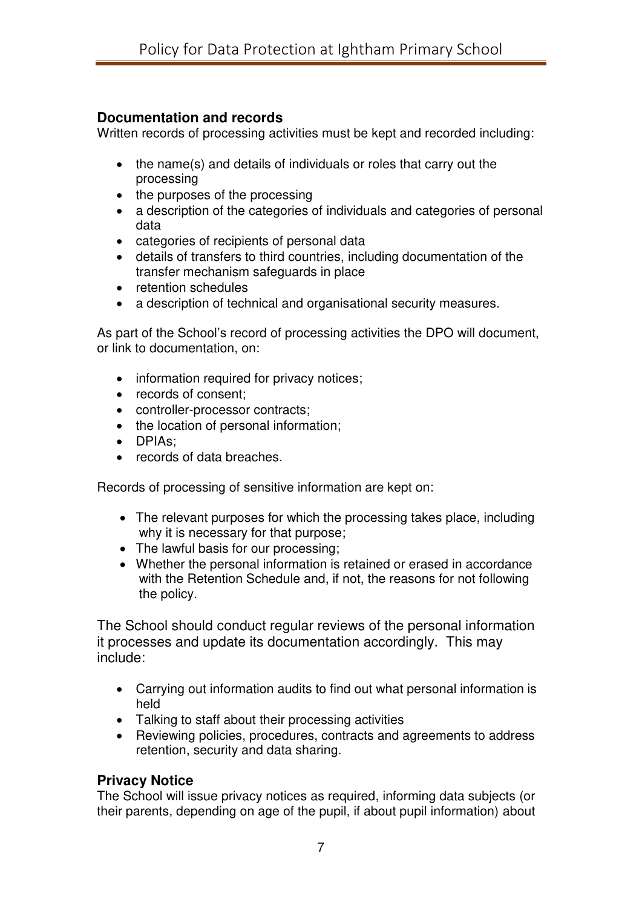## **Documentation and records**

Written records of processing activities must be kept and recorded including:

- the name(s) and details of individuals or roles that carry out the processing
- the purposes of the processing
- a description of the categories of individuals and categories of personal data
- categories of recipients of personal data
- details of transfers to third countries, including documentation of the transfer mechanism safeguards in place
- retention schedules
- a description of technical and organisational security measures.

As part of the School's record of processing activities the DPO will document, or link to documentation, on:

- information required for privacy notices;
- records of consent;
- controller-processor contracts;
- the location of personal information;
- DPIAs:
- records of data breaches.

Records of processing of sensitive information are kept on:

- The relevant purposes for which the processing takes place, including why it is necessary for that purpose;
- The lawful basis for our processing;
- Whether the personal information is retained or erased in accordance with the Retention Schedule and, if not, the reasons for not following the policy.

The School should conduct regular reviews of the personal information it processes and update its documentation accordingly. This may include:

- Carrying out information audits to find out what personal information is held
- Talking to staff about their processing activities
- Reviewing policies, procedures, contracts and agreements to address retention, security and data sharing.

## **Privacy Notice**

The School will issue privacy notices as required, informing data subjects (or their parents, depending on age of the pupil, if about pupil information) about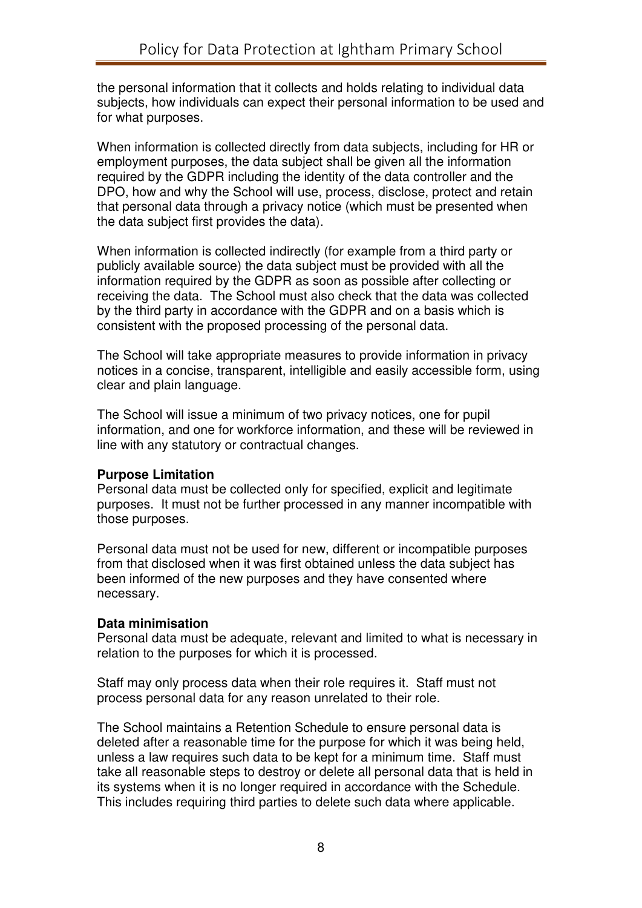the personal information that it collects and holds relating to individual data subjects, how individuals can expect their personal information to be used and for what purposes.

When information is collected directly from data subjects, including for HR or employment purposes, the data subject shall be given all the information required by the GDPR including the identity of the data controller and the DPO, how and why the School will use, process, disclose, protect and retain that personal data through a privacy notice (which must be presented when the data subject first provides the data).

When information is collected indirectly (for example from a third party or publicly available source) the data subject must be provided with all the information required by the GDPR as soon as possible after collecting or receiving the data. The School must also check that the data was collected by the third party in accordance with the GDPR and on a basis which is consistent with the proposed processing of the personal data.

The School will take appropriate measures to provide information in privacy notices in a concise, transparent, intelligible and easily accessible form, using clear and plain language.

The School will issue a minimum of two privacy notices, one for pupil information, and one for workforce information, and these will be reviewed in line with any statutory or contractual changes.

#### **Purpose Limitation**

Personal data must be collected only for specified, explicit and legitimate purposes. It must not be further processed in any manner incompatible with those purposes.

Personal data must not be used for new, different or incompatible purposes from that disclosed when it was first obtained unless the data subject has been informed of the new purposes and they have consented where necessary.

#### **Data minimisation**

Personal data must be adequate, relevant and limited to what is necessary in relation to the purposes for which it is processed.

Staff may only process data when their role requires it. Staff must not process personal data for any reason unrelated to their role.

The School maintains a Retention Schedule to ensure personal data is deleted after a reasonable time for the purpose for which it was being held, unless a law requires such data to be kept for a minimum time. Staff must take all reasonable steps to destroy or delete all personal data that is held in its systems when it is no longer required in accordance with the Schedule. This includes requiring third parties to delete such data where applicable.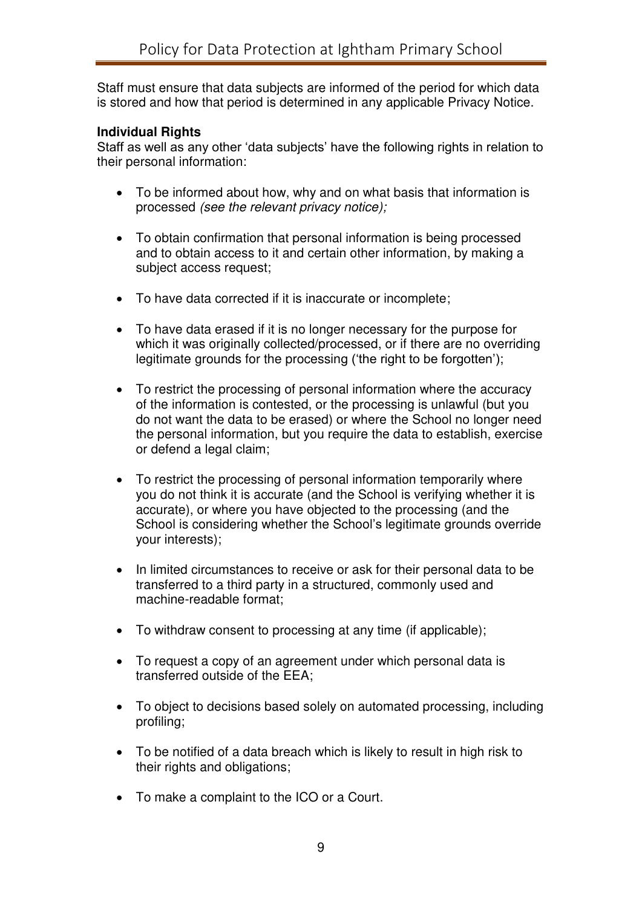Staff must ensure that data subjects are informed of the period for which data is stored and how that period is determined in any applicable Privacy Notice.

#### **Individual Rights**

Staff as well as any other 'data subjects' have the following rights in relation to their personal information:

- To be informed about how, why and on what basis that information is processed (see the relevant privacy notice);
- To obtain confirmation that personal information is being processed and to obtain access to it and certain other information, by making a subject access request;
- To have data corrected if it is inaccurate or incomplete;
- To have data erased if it is no longer necessary for the purpose for which it was originally collected/processed, or if there are no overriding legitimate grounds for the processing ('the right to be forgotten');
- To restrict the processing of personal information where the accuracy of the information is contested, or the processing is unlawful (but you do not want the data to be erased) or where the School no longer need the personal information, but you require the data to establish, exercise or defend a legal claim;
- To restrict the processing of personal information temporarily where you do not think it is accurate (and the School is verifying whether it is accurate), or where you have objected to the processing (and the School is considering whether the School's legitimate grounds override your interests);
- In limited circumstances to receive or ask for their personal data to be transferred to a third party in a structured, commonly used and machine-readable format;
- To withdraw consent to processing at any time (if applicable);
- To request a copy of an agreement under which personal data is transferred outside of the EEA;
- To object to decisions based solely on automated processing, including profiling;
- To be notified of a data breach which is likely to result in high risk to their rights and obligations;
- To make a complaint to the ICO or a Court.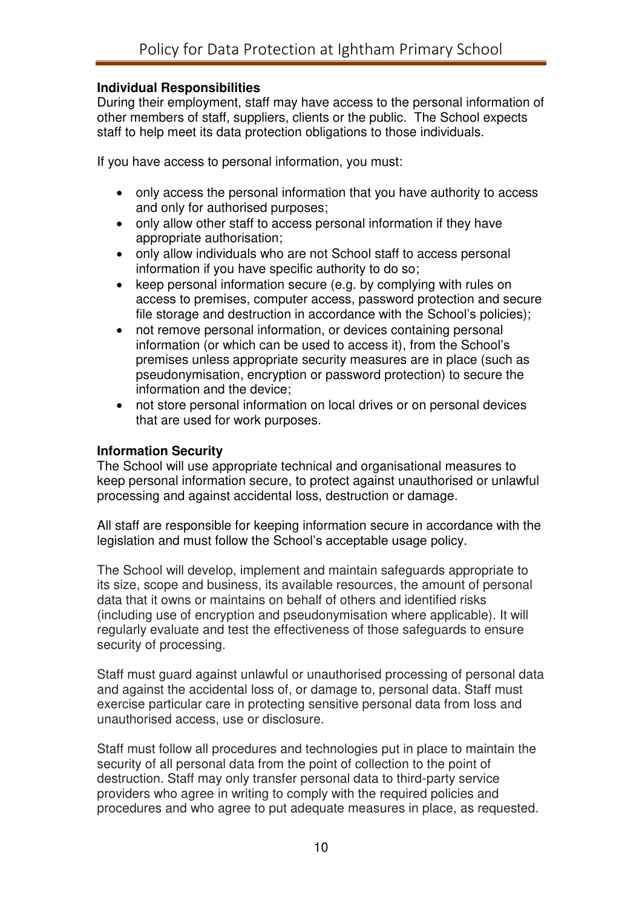## **Individual Responsibilities**

During their employment, staff may have access to the personal information of other members of staff, suppliers, clients or the public. The School expects staff to help meet its data protection obligations to those individuals.

If you have access to personal information, you must:

- only access the personal information that you have authority to access and only for authorised purposes;
- only allow other staff to access personal information if they have appropriate authorisation;
- only allow individuals who are not School staff to access personal information if you have specific authority to do so;
- keep personal information secure (e.g. by complying with rules on access to premises, computer access, password protection and secure file storage and destruction in accordance with the School's policies);
- not remove personal information, or devices containing personal information (or which can be used to access it), from the School's premises unless appropriate security measures are in place (such as pseudonymisation, encryption or password protection) to secure the information and the device;
- not store personal information on local drives or on personal devices that are used for work purposes.

#### **Information Security**

The School will use appropriate technical and organisational measures to keep personal information secure, to protect against unauthorised or unlawful processing and against accidental loss, destruction or damage.

All staff are responsible for keeping information secure in accordance with the legislation and must follow the School's acceptable usage policy.

The School will develop, implement and maintain safeguards appropriate to its size, scope and business, its available resources, the amount of personal data that it owns or maintains on behalf of others and identified risks (including use of encryption and pseudonymisation where applicable). It will regularly evaluate and test the effectiveness of those safeguards to ensure security of processing.

Staff must guard against unlawful or unauthorised processing of personal data and against the accidental loss of, or damage to, personal data. Staff must exercise particular care in protecting sensitive personal data from loss and unauthorised access, use or disclosure.

Staff must follow all procedures and technologies put in place to maintain the security of all personal data from the point of collection to the point of destruction. Staff may only transfer personal data to third-party service providers who agree in writing to comply with the required policies and procedures and who agree to put adequate measures in place, as requested.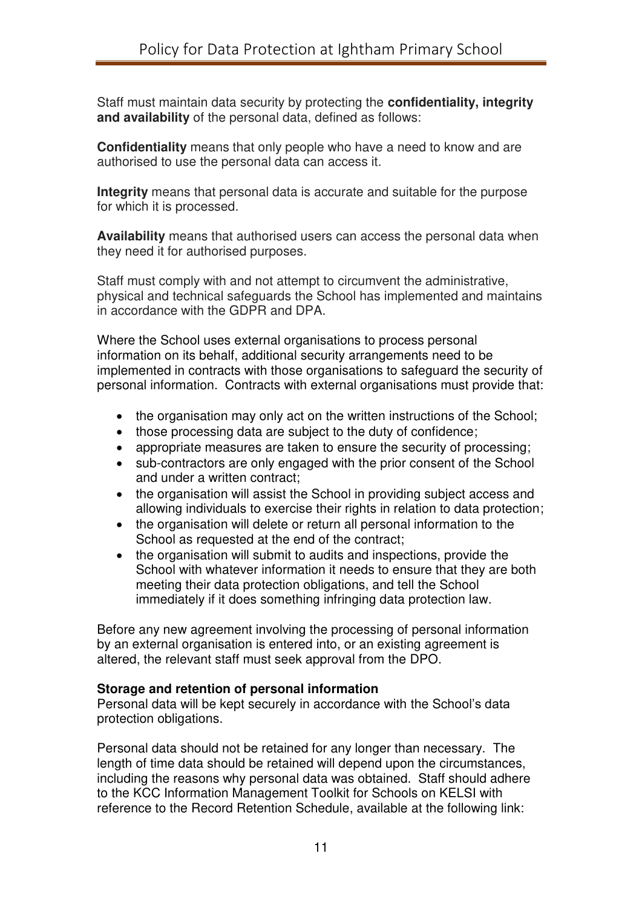Staff must maintain data security by protecting the **confidentiality, integrity and availability** of the personal data, defined as follows:

**Confidentiality** means that only people who have a need to know and are authorised to use the personal data can access it.

**Integrity** means that personal data is accurate and suitable for the purpose for which it is processed.

**Availability** means that authorised users can access the personal data when they need it for authorised purposes.

Staff must comply with and not attempt to circumvent the administrative, physical and technical safeguards the School has implemented and maintains in accordance with the GDPR and DPA.

Where the School uses external organisations to process personal information on its behalf, additional security arrangements need to be implemented in contracts with those organisations to safeguard the security of personal information. Contracts with external organisations must provide that:

- the organisation may only act on the written instructions of the School;
- those processing data are subject to the duty of confidence:
- appropriate measures are taken to ensure the security of processing;
- sub-contractors are only engaged with the prior consent of the School and under a written contract;
- the organisation will assist the School in providing subject access and allowing individuals to exercise their rights in relation to data protection;
- the organisation will delete or return all personal information to the School as requested at the end of the contract;
- the organisation will submit to audits and inspections, provide the School with whatever information it needs to ensure that they are both meeting their data protection obligations, and tell the School immediately if it does something infringing data protection law.

Before any new agreement involving the processing of personal information by an external organisation is entered into, or an existing agreement is altered, the relevant staff must seek approval from the DPO.

## **Storage and retention of personal information**

Personal data will be kept securely in accordance with the School's data protection obligations.

Personal data should not be retained for any longer than necessary. The length of time data should be retained will depend upon the circumstances, including the reasons why personal data was obtained. Staff should adhere to the KCC Information Management Toolkit for Schools on KELSI with reference to the Record Retention Schedule, available at the following link: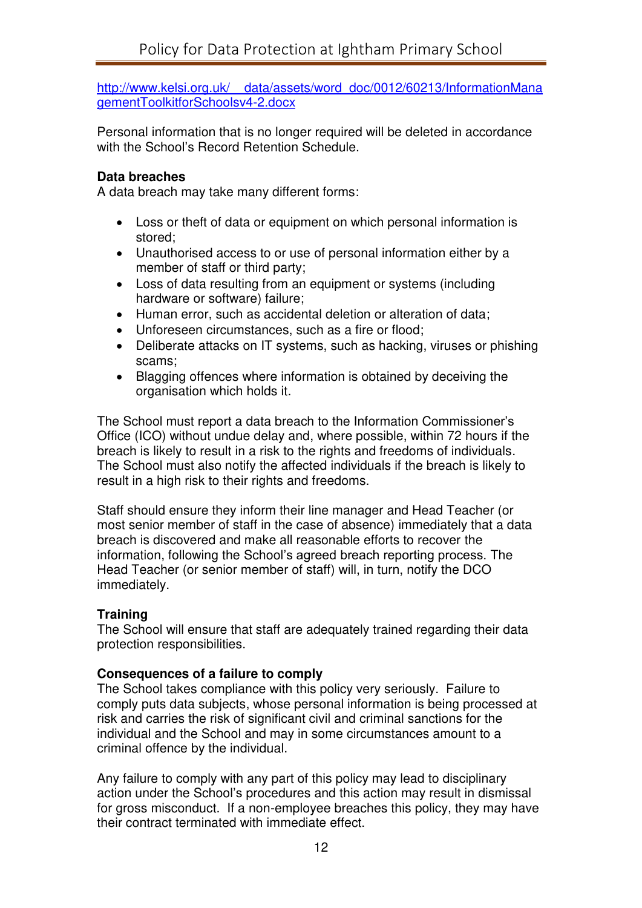[http://www.kelsi.org.uk/\\_\\_data/assets/word\\_doc/0012/60213/InformationMana](http://www.kelsi.org.uk/__data/assets/word_doc/0012/60213/InformationManagementToolkitforSchoolsv4-2.docx) [gementToolkitforSchoolsv4-2.docx](http://www.kelsi.org.uk/__data/assets/word_doc/0012/60213/InformationManagementToolkitforSchoolsv4-2.docx)

Personal information that is no longer required will be deleted in accordance with the School's Record Retention Schedule.

#### **Data breaches**

A data breach may take many different forms:

- Loss or theft of data or equipment on which personal information is stored;
- Unauthorised access to or use of personal information either by a member of staff or third party;
- Loss of data resulting from an equipment or systems (including hardware or software) failure;
- Human error, such as accidental deletion or alteration of data:
- Unforeseen circumstances, such as a fire or flood;
- Deliberate attacks on IT systems, such as hacking, viruses or phishing scams;
- Blagging offences where information is obtained by deceiving the organisation which holds it.

The School must report a data breach to the Information Commissioner's Office (ICO) without undue delay and, where possible, within 72 hours if the breach is likely to result in a risk to the rights and freedoms of individuals. The School must also notify the affected individuals if the breach is likely to result in a high risk to their rights and freedoms.

Staff should ensure they inform their line manager and Head Teacher (or most senior member of staff in the case of absence) immediately that a data breach is discovered and make all reasonable efforts to recover the information, following the School's agreed breach reporting process. The Head Teacher (or senior member of staff) will, in turn, notify the DCO immediately.

## **Training**

The School will ensure that staff are adequately trained regarding their data protection responsibilities.

#### **Consequences of a failure to comply**

The School takes compliance with this policy very seriously. Failure to comply puts data subjects, whose personal information is being processed at risk and carries the risk of significant civil and criminal sanctions for the individual and the School and may in some circumstances amount to a criminal offence by the individual.

Any failure to comply with any part of this policy may lead to disciplinary action under the School's procedures and this action may result in dismissal for gross misconduct. If a non-employee breaches this policy, they may have their contract terminated with immediate effect.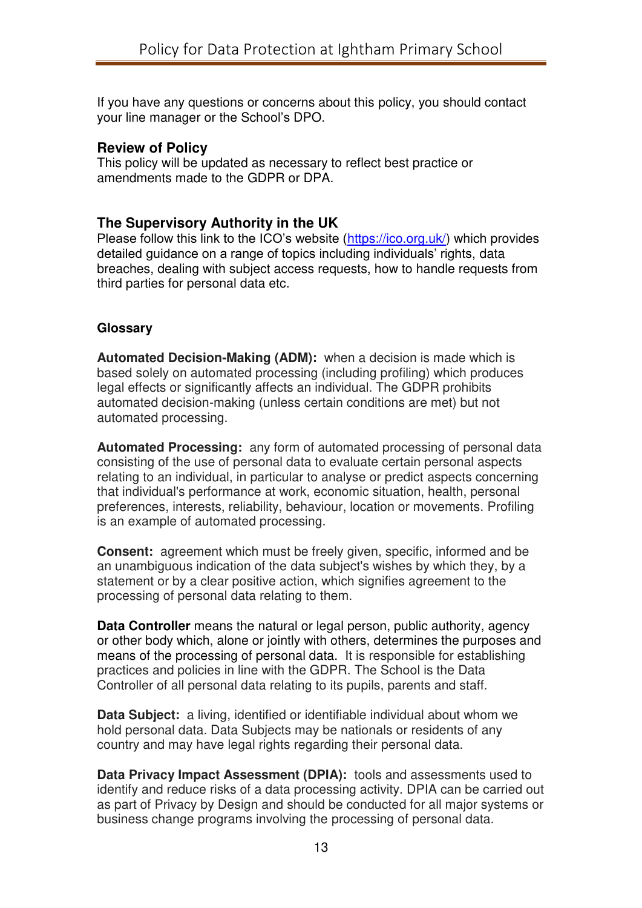If you have any questions or concerns about this policy, you should contact your line manager or the School's DPO.

## **Review of Policy**

This policy will be updated as necessary to reflect best practice or amendments made to the GDPR or DPA.

# **The Supervisory Authority in the UK**

Please follow this link to the ICO's website ([https://ico.org.uk/\)](https://ico.org.uk/) which provides detailed guidance on a range of topics including individuals' rights, data breaches, dealing with subject access requests, how to handle requests from third parties for personal data etc.

## **Glossary**

**Automated Decision-Making (ADM):** when a decision is made which is based solely on automated processing (including profiling) which produces legal effects or significantly affects an individual. The GDPR prohibits automated decision-making (unless certain conditions are met) but not automated processing.

**Automated Processing:** any form of automated processing of personal data consisting of the use of personal data to evaluate certain personal aspects relating to an individual, in particular to analyse or predict aspects concerning that individual's performance at work, economic situation, health, personal preferences, interests, reliability, behaviour, location or movements. Profiling is an example of automated processing.

**Consent:** agreement which must be freely given, specific, informed and be an unambiguous indication of the data subject's wishes by which they, by a statement or by a clear positive action, which signifies agreement to the processing of personal data relating to them.

**Data Controller** means the natural or legal person, public authority, agency or other body which, alone or jointly with others, determines the purposes and means of the processing of personal data. It is responsible for establishing practices and policies in line with the GDPR. The School is the Data Controller of all personal data relating to its pupils, parents and staff.

**Data Subject:** a living, identified or identifiable individual about whom we hold personal data. Data Subjects may be nationals or residents of any country and may have legal rights regarding their personal data.

**Data Privacy Impact Assessment (DPIA):** tools and assessments used to identify and reduce risks of a data processing activity. DPIA can be carried out as part of Privacy by Design and should be conducted for all major systems or business change programs involving the processing of personal data.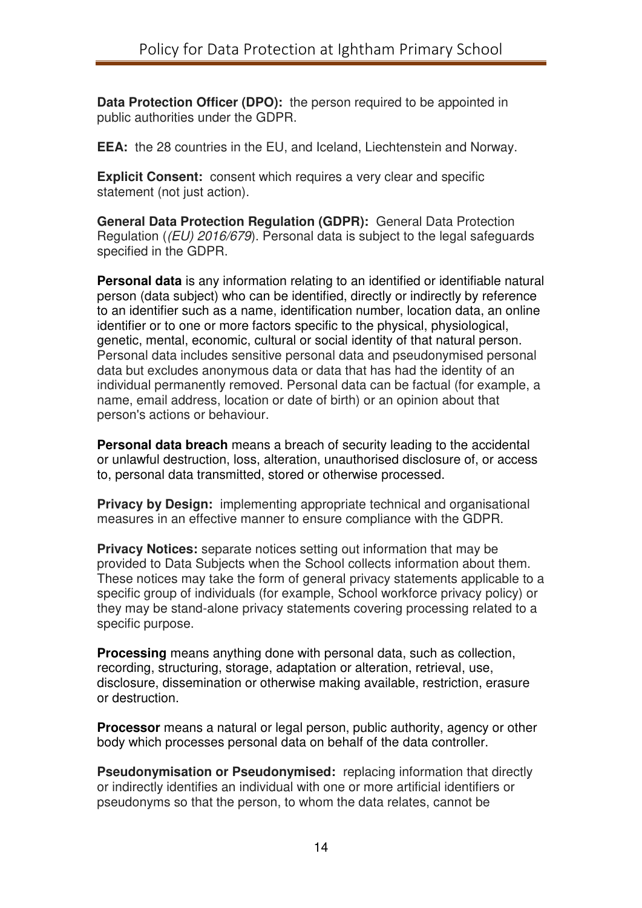**Data Protection Officer (DPO):** the person required to be appointed in public authorities under the GDPR.

**EEA:** the 28 countries in the EU, and Iceland, Liechtenstein and Norway.

**Explicit Consent:** consent which requires a very clear and specific statement (not just action).

**General Data Protection Regulation (GDPR):** General Data Protection Regulation ((EU) 2016/679). Personal data is subject to the legal safeguards specified in the GDPR.

**Personal data** is any information relating to an identified or identifiable natural person (data subject) who can be identified, directly or indirectly by reference to an identifier such as a name, identification number, location data, an online identifier or to one or more factors specific to the physical, physiological, genetic, mental, economic, cultural or social identity of that natural person. Personal data includes sensitive personal data and pseudonymised personal data but excludes anonymous data or data that has had the identity of an individual permanently removed. Personal data can be factual (for example, a name, email address, location or date of birth) or an opinion about that person's actions or behaviour.

**Personal data breach** means a breach of security leading to the accidental or unlawful destruction, loss, alteration, unauthorised disclosure of, or access to, personal data transmitted, stored or otherwise processed.

**Privacy by Design:** implementing appropriate technical and organisational measures in an effective manner to ensure compliance with the GDPR.

**Privacy Notices:** separate notices setting out information that may be provided to Data Subjects when the School collects information about them. These notices may take the form of general privacy statements applicable to a specific group of individuals (for example, School workforce privacy policy) or they may be stand-alone privacy statements covering processing related to a specific purpose.

**Processing** means anything done with personal data, such as collection, recording, structuring, storage, adaptation or alteration, retrieval, use, disclosure, dissemination or otherwise making available, restriction, erasure or destruction.

**Processor** means a natural or legal person, public authority, agency or other body which processes personal data on behalf of the data controller.

**Pseudonymisation or Pseudonymised:** replacing information that directly or indirectly identifies an individual with one or more artificial identifiers or pseudonyms so that the person, to whom the data relates, cannot be